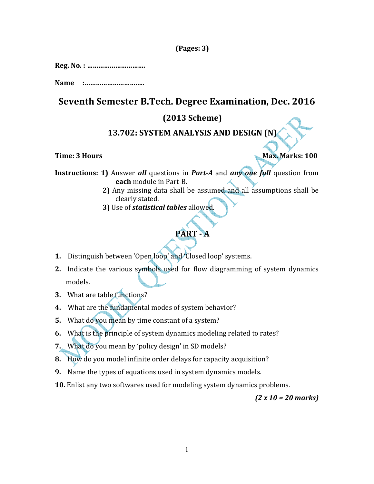## (Pages: 3)

Reg. No. : ………………………….

Name :…………………………..

# Seventh Semester B.Tech. Degree Examination, Dec. 2016

## (2013 Scheme)

# 13.702: SYSTEM ANALYSIS AND DESIGN (N)

Time: 3 Hours Max. Marks: 100

Instructions: 1) Answer all questions in Part-A and any one full question from each module in Part-B.

- 2) Any missing data shall be assumed and all assumptions shall be clearly stated.
- 3) Use of *statistical tables* allowed.

# PART - A

- 1. Distinguish between 'Open loop' and 'Closed loop' systems.
- 2. Indicate the various symbols used for flow diagramming of system dynamics models.
- 3. What are table functions?
- 4. What are the fundamental modes of system behavior?
- 5. What do you mean by time constant of a system?
- 6. What is the principle of system dynamics modeling related to rates?
- 7. What do you mean by 'policy design' in SD models?
- 8. How do you model infinite order delays for capacity acquisition?
- 9. Name the types of equations used in system dynamics models.
- 10. Enlist any two softwares used for modeling system dynamics problems.

(2 x 10 = 20 marks)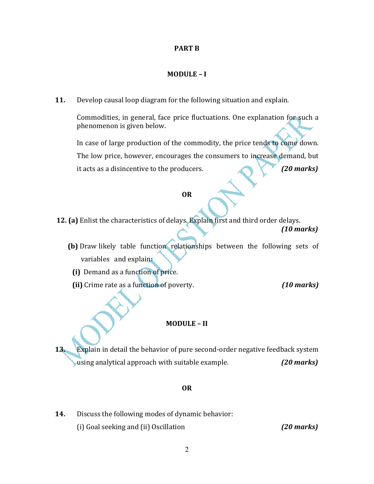### PART B

### MODULE – I

11. Develop causal loop diagram for the following situation and explain.

Commodities, in general, face price fluctuations. One explanation for such a phenomenon is given below.

In case of large production of the commodity, the price tends to come down. The low price, however, encourages the consumers to increase demand, but it acts as a disincentive to the producers. (20 marks)

### OR

- 12. (a) Enlist the characteristics of delays. Explain first and third order delays. (10 marks)
	- (b) Draw likely table function relationships between the following sets of variables and explain:
		- (i) Demand as a function of price.
		- (ii) Crime rate as a function of poverty. (10 marks)

### MODULE – II

13. Explain in detail the behavior of pure second-order negative feedback system using analytical approach with suitable example. (20 marks)

### OR

14. Discuss the following modes of dynamic behavior: (i) Goal seeking and (ii) Oscillation (20 marks)